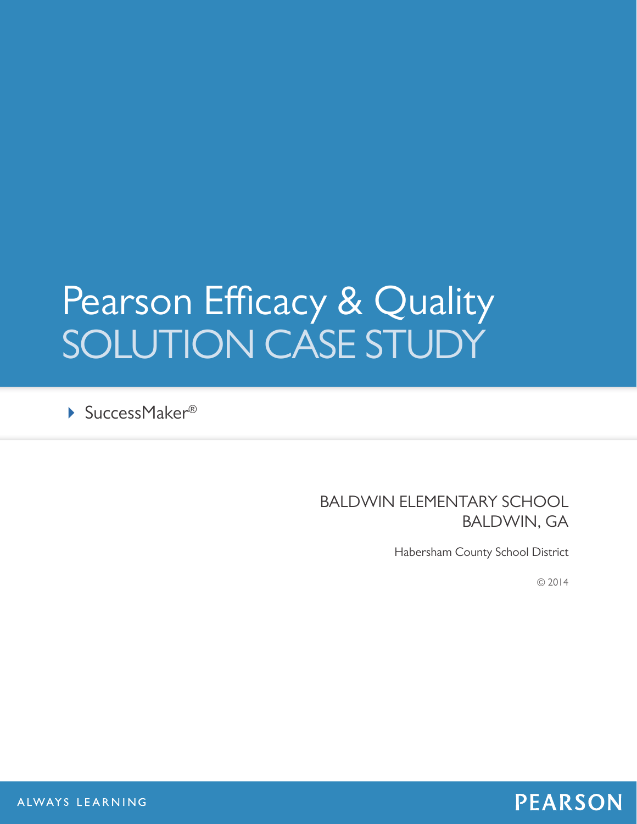# Pearson Efficacy & Quality SOLUTION CASE STUDY

▶ SuccessMaker®

# BALDWIN ELEMENTARY SCHOOL BALDWIN, GA

Habersham County School District

© 2014

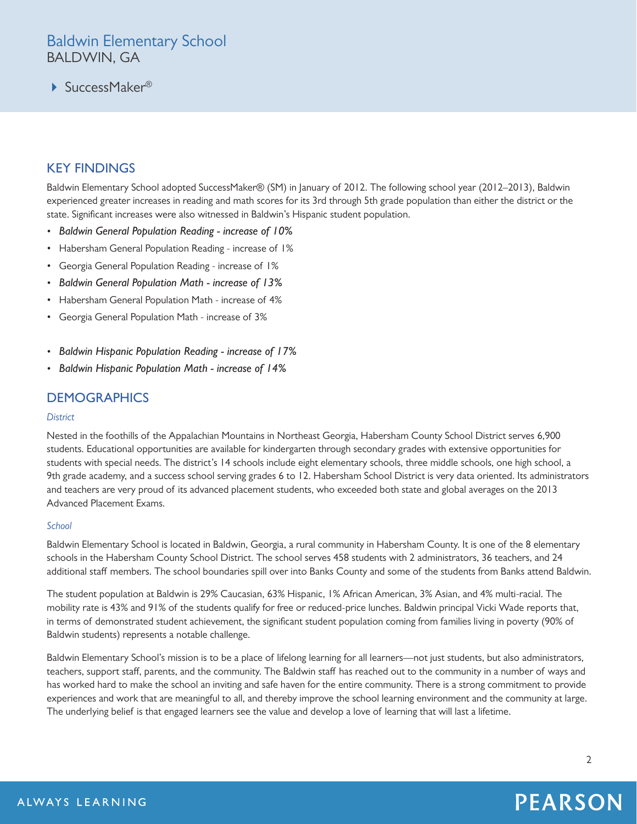# Baldwin Elementary School BALDWIN, GA

▶ SuccessMaker<sup>®</sup>

# KEY FINDINGS

Baldwin Elementary School adopted SuccessMaker® (SM) in January of 2012. The following school year (2012–2013), Baldwin experienced greater increases in reading and math scores for its 3rd through 5th grade population than either the district or the state. Significant increases were also witnessed in Baldwin's Hispanic student population.

- *Baldwin General Population Reading increase of 10%*
- Habersham General Population Reading increase of 1%
- Georgia General Population Reading increase of 1%
- *Baldwin General Population Math increase of 13%*
- Habersham General Population Math increase of 4%
- Georgia General Population Math increase of 3%
- *Baldwin Hispanic Population Reading increase of 17%*
- *Baldwin Hispanic Population Math increase of 14%*

## **DEMOGRAPHICS**

### *District*

Nested in the foothills of the Appalachian Mountains in Northeast Georgia, Habersham County School District serves 6,900 students. Educational opportunities are available for kindergarten through secondary grades with extensive opportunities for students with special needs. The district's 14 schools include eight elementary schools, three middle schools, one high school, a 9th grade academy, and a success school serving grades 6 to 12. Habersham School District is very data oriented. Its administrators and teachers are very proud of its advanced placement students, who exceeded both state and global averages on the 2013 Advanced Placement Exams.

### *School*

Baldwin Elementary School is located in Baldwin, Georgia, a rural community in Habersham County. It is one of the 8 elementary schools in the Habersham County School District. The school serves 458 students with 2 administrators, 36 teachers, and 24 additional staff members. The school boundaries spill over into Banks County and some of the students from Banks attend Baldwin.

The student population at Baldwin is 29% Caucasian, 63% Hispanic, 1% African American, 3% Asian, and 4% multi-racial. The mobility rate is 43% and 91% of the students qualify for free or reduced-price lunches. Baldwin principal Vicki Wade reports that, in terms of demonstrated student achievement, the significant student population coming from families living in poverty (90% of Baldwin students) represents a notable challenge.

Baldwin Elementary School's mission is to be a place of lifelong learning for all learners—not just students, but also administrators, teachers, support staff, parents, and the community. The Baldwin staff has reached out to the community in a number of ways and has worked hard to make the school an inviting and safe haven for the entire community. There is a strong commitment to provide experiences and work that are meaningful to all, and thereby improve the school learning environment and the community at large. The underlying belief is that engaged learners see the value and develop a love of learning that will last a lifetime.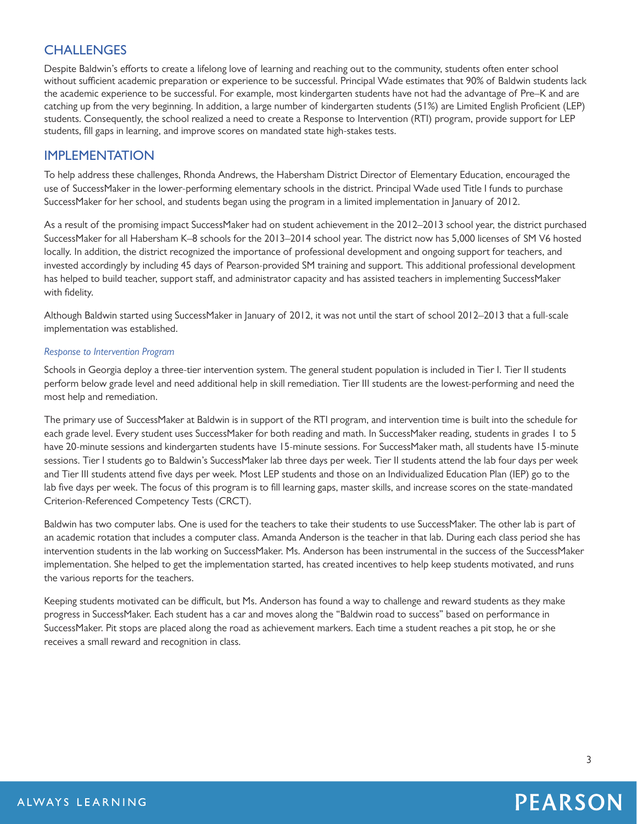# **CHALLENGES**

Despite Baldwin's efforts to create a lifelong love of learning and reaching out to the community, students often enter school without sufficient academic preparation or experience to be successful. Principal Wade estimates that 90% of Baldwin students lack the academic experience to be successful. For example, most kindergarten students have not had the advantage of Pre–K and are catching up from the very beginning. In addition, a large number of kindergarten students (51%) are Limited English Proficient (LEP) students. Consequently, the school realized a need to create a Response to Intervention (RTI) program, provide support for LEP students, fill gaps in learning, and improve scores on mandated state high-stakes tests.

## IMPLEMENTATION

To help address these challenges, Rhonda Andrews, the Habersham District Director of Elementary Education, encouraged the use of SuccessMaker in the lower-performing elementary schools in the district. Principal Wade used Title I funds to purchase SuccessMaker for her school, and students began using the program in a limited implementation in January of 2012.

As a result of the promising impact SuccessMaker had on student achievement in the 2012–2013 school year, the district purchased SuccessMaker for all Habersham K–8 schools for the 2013–2014 school year. The district now has 5,000 licenses of SM V6 hosted locally. In addition, the district recognized the importance of professional development and ongoing support for teachers, and invested accordingly by including 45 days of Pearson-provided SM training and support. This additional professional development has helped to build teacher, support staff, and administrator capacity and has assisted teachers in implementing SuccessMaker with fidelity.

Although Baldwin started using SuccessMaker in January of 2012, it was not until the start of school 2012–2013 that a full-scale implementation was established.

### *Response to Intervention Program*

Schools in Georgia deploy a three-tier intervention system. The general student population is included in Tier I. Tier II students perform below grade level and need additional help in skill remediation. Tier III students are the lowest-performing and need the most help and remediation.

The primary use of SuccessMaker at Baldwin is in support of the RTI program, and intervention time is built into the schedule for each grade level. Every student uses SuccessMaker for both reading and math. In SuccessMaker reading, students in grades 1 to 5 have 20-minute sessions and kindergarten students have 15-minute sessions. For SuccessMaker math, all students have 15-minute sessions. Tier I students go to Baldwin's SuccessMaker lab three days per week. Tier II students attend the lab four days per week and Tier III students attend five days per week. Most LEP students and those on an Individualized Education Plan (IEP) go to the lab five days per week. The focus of this program is to fill learning gaps, master skills, and increase scores on the state-mandated Criterion-Referenced Competency Tests (CRCT).

Baldwin has two computer labs. One is used for the teachers to take their students to use SuccessMaker. The other lab is part of an academic rotation that includes a computer class. Amanda Anderson is the teacher in that lab. During each class period she has intervention students in the lab working on SuccessMaker. Ms. Anderson has been instrumental in the success of the SuccessMaker implementation. She helped to get the implementation started, has created incentives to help keep students motivated, and runs the various reports for the teachers.

Keeping students motivated can be difficult, but Ms. Anderson has found a way to challenge and reward students as they make progress in SuccessMaker. Each student has a car and moves along the "Baldwin road to success" based on performance in SuccessMaker. Pit stops are placed along the road as achievement markers. Each time a student reaches a pit stop, he or she receives a small reward and recognition in class.

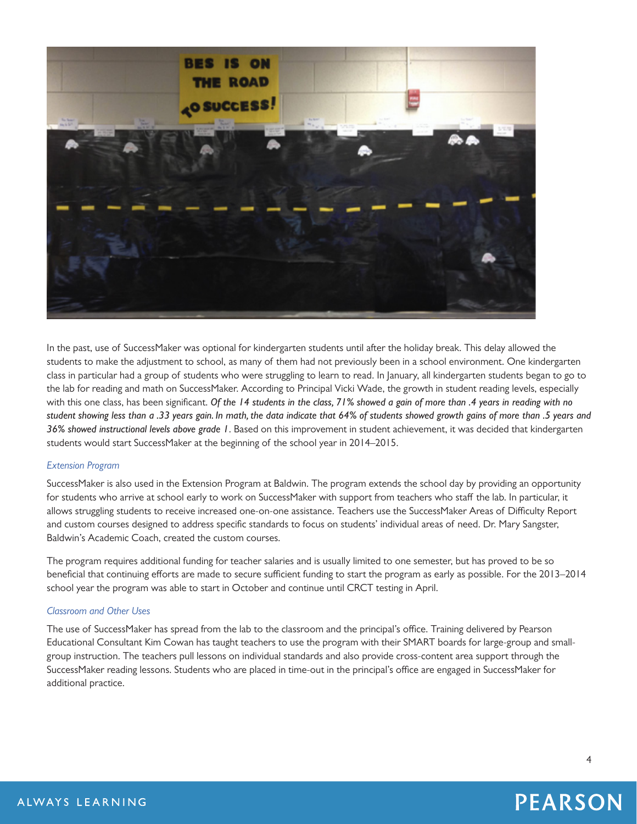

In the past, use of SuccessMaker was optional for kindergarten students until after the holiday break. This delay allowed the students to make the adjustment to school, as many of them had not previously been in a school environment. One kindergarten class in particular had a group of students who were struggling to learn to read. In January, all kindergarten students began to go to the lab for reading and math on SuccessMaker. According to Principal Vicki Wade, the growth in student reading levels, especially with this one class, has been significant. *Of the 14 students in the class, 71% showed a gain of more than .4 years in reading with no student showing less than a .33 years gain. In math, the data indicate that 64% of students showed growth gains of more than .5 years and 36% showed instructional levels above grade 1*. Based on this improvement in student achievement, it was decided that kindergarten students would start SuccessMaker at the beginning of the school year in 2014–2015.

### *Extension Program*

SuccessMaker is also used in the Extension Program at Baldwin. The program extends the school day by providing an opportunity for students who arrive at school early to work on SuccessMaker with support from teachers who staff the lab. In particular, it allows struggling students to receive increased one-on-one assistance. Teachers use the SuccessMaker Areas of Difficulty Report and custom courses designed to address specific standards to focus on students' individual areas of need. Dr. Mary Sangster, Baldwin's Academic Coach, created the custom courses.

The program requires additional funding for teacher salaries and is usually limited to one semester, but has proved to be so beneficial that continuing efforts are made to secure sufficient funding to start the program as early as possible. For the 2013–2014 school year the program was able to start in October and continue until CRCT testing in April.

### *Classroom and Other Uses*

The use of SuccessMaker has spread from the lab to the classroom and the principal's office. Training delivered by Pearson Educational Consultant Kim Cowan has taught teachers to use the program with their SMART boards for large-group and smallgroup instruction. The teachers pull lessons on individual standards and also provide cross-content area support through the SuccessMaker reading lessons. Students who are placed in time-out in the principal's office are engaged in SuccessMaker for additional practice.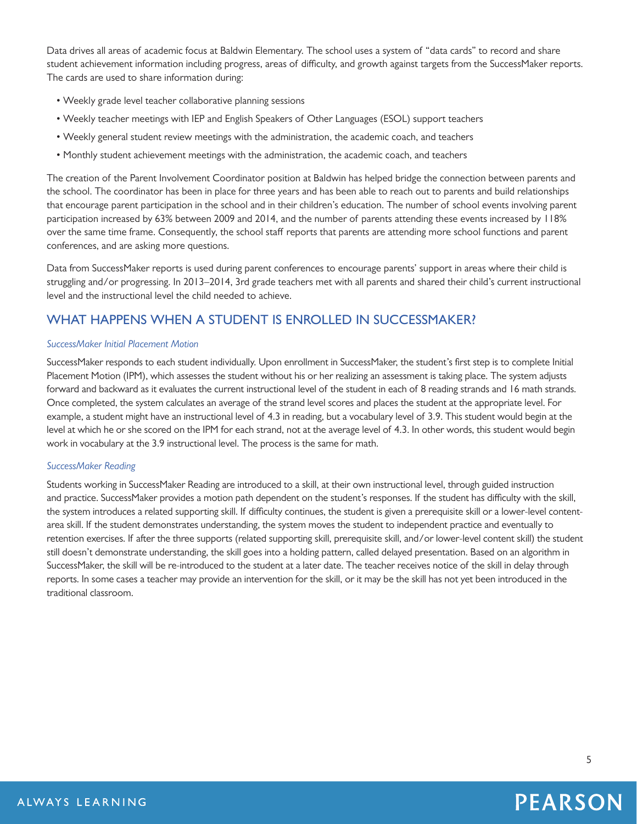Data drives all areas of academic focus at Baldwin Elementary. The school uses a system of "data cards" to record and share student achievement information including progress, areas of difficulty, and growth against targets from the SuccessMaker reports. The cards are used to share information during:

- Weekly grade level teacher collaborative planning sessions
- Weekly teacher meetings with IEP and English Speakers of Other Languages (ESOL) support teachers
- Weekly general student review meetings with the administration, the academic coach, and teachers
- Monthly student achievement meetings with the administration, the academic coach, and teachers

The creation of the Parent Involvement Coordinator position at Baldwin has helped bridge the connection between parents and the school. The coordinator has been in place for three years and has been able to reach out to parents and build relationships that encourage parent participation in the school and in their children's education. The number of school events involving parent participation increased by 63% between 2009 and 2014, and the number of parents attending these events increased by 118% over the same time frame. Consequently, the school staff reports that parents are attending more school functions and parent conferences, and are asking more questions.

Data from SuccessMaker reports is used during parent conferences to encourage parents' support in areas where their child is struggling and/or progressing. In 2013–2014, 3rd grade teachers met with all parents and shared their child's current instructional level and the instructional level the child needed to achieve.

# WHAT HAPPENS WHEN A STUDENT IS ENROLLED IN SUCCESSMAKER?

### *SuccessMaker Initial Placement Motion*

SuccessMaker responds to each student individually. Upon enrollment in SuccessMaker, the student's first step is to complete Initial Placement Motion (IPM), which assesses the student without his or her realizing an assessment is taking place. The system adjusts forward and backward as it evaluates the current instructional level of the student in each of 8 reading strands and 16 math strands. Once completed, the system calculates an average of the strand level scores and places the student at the appropriate level. For example, a student might have an instructional level of 4.3 in reading, but a vocabulary level of 3.9. This student would begin at the level at which he or she scored on the IPM for each strand, not at the average level of 4.3. In other words, this student would begin work in vocabulary at the 3.9 instructional level. The process is the same for math.

### *SuccessMaker Reading*

Students working in SuccessMaker Reading are introduced to a skill, at their own instructional level, through guided instruction and practice. SuccessMaker provides a motion path dependent on the student's responses. If the student has difficulty with the skill, the system introduces a related supporting skill. If difficulty continues, the student is given a prerequisite skill or a lower-level contentarea skill. If the student demonstrates understanding, the system moves the student to independent practice and eventually to retention exercises. If after the three supports (related supporting skill, prerequisite skill, and/or lower-level content skill) the student still doesn't demonstrate understanding, the skill goes into a holding pattern, called delayed presentation. Based on an algorithm in SuccessMaker, the skill will be re-introduced to the student at a later date. The teacher receives notice of the skill in delay through reports. In some cases a teacher may provide an intervention for the skill, or it may be the skill has not yet been introduced in the traditional classroom.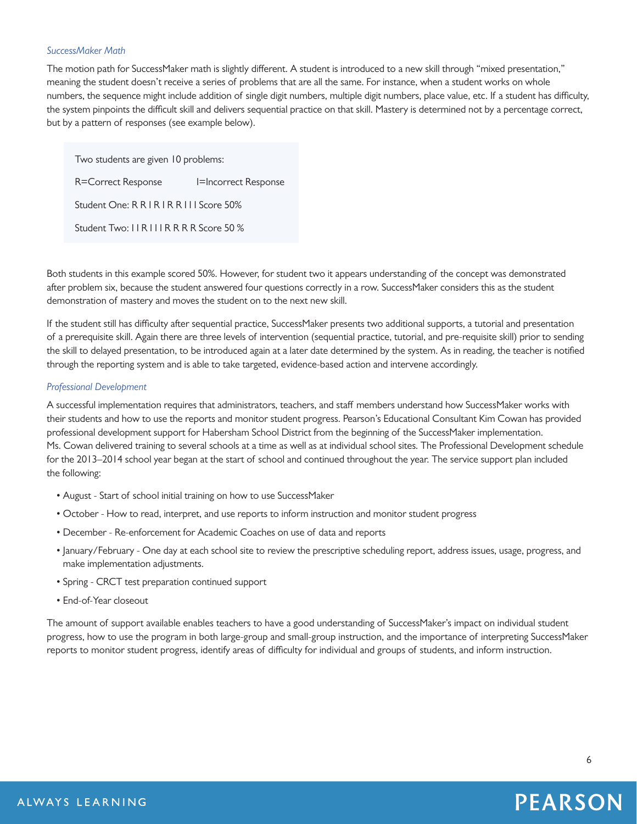### *SuccessMaker Math*

The motion path for SuccessMaker math is slightly different. A student is introduced to a new skill through "mixed presentation," meaning the student doesn't receive a series of problems that are all the same. For instance, when a student works on whole numbers, the sequence might include addition of single digit numbers, multiple digit numbers, place value, etc. If a student has difficulty, the system pinpoints the difficult skill and delivers sequential practice on that skill. Mastery is determined not by a percentage correct, but by a pattern of responses (see example below).

Two students are given 10 problems: R=Correct Response I=Incorrect Response

Student One: R R | R | R R | I | Score 50%

Student Two: I I R I I I R R R R Score 50 %

Both students in this example scored 50%. However, for student two it appears understanding of the concept was demonstrated after problem six, because the student answered four questions correctly in a row. SuccessMaker considers this as the student demonstration of mastery and moves the student on to the next new skill.

If the student still has difficulty after sequential practice, SuccessMaker presents two additional supports, a tutorial and presentation of a prerequisite skill. Again there are three levels of intervention (sequential practice, tutorial, and pre-requisite skill) prior to sending the skill to delayed presentation, to be introduced again at a later date determined by the system. As in reading, the teacher is notified through the reporting system and is able to take targeted, evidence-based action and intervene accordingly.

### *Professional Development*

A successful implementation requires that administrators, teachers, and staff members understand how SuccessMaker works with their students and how to use the reports and monitor student progress. Pearson's Educational Consultant Kim Cowan has provided professional development support for Habersham School District from the beginning of the SuccessMaker implementation. Ms. Cowan delivered training to several schools at a time as well as at individual school sites. The Professional Development schedule for the 2013–2014 school year began at the start of school and continued throughout the year. The service support plan included the following:

- August Start of school initial training on how to use SuccessMaker
- October How to read, interpret, and use reports to inform instruction and monitor student progress
- December Re-enforcement for Academic Coaches on use of data and reports
- January/February One day at each school site to review the prescriptive scheduling report, address issues, usage, progress, and make implementation adjustments.
- Spring CRCT test preparation continued support
- End-of-Year closeout

The amount of support available enables teachers to have a good understanding of SuccessMaker's impact on individual student progress, how to use the program in both large-group and small-group instruction, and the importance of interpreting SuccessMaker reports to monitor student progress, identify areas of difficulty for individual and groups of students, and inform instruction.

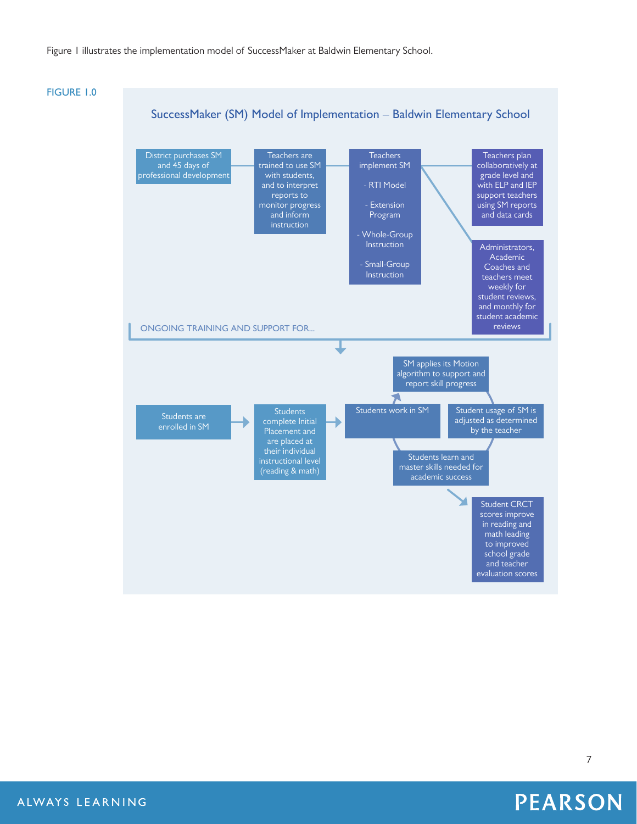### Figure 1 illustrates the implementation model of SuccessMaker at Baldwin Elementary School.



**PEARSON**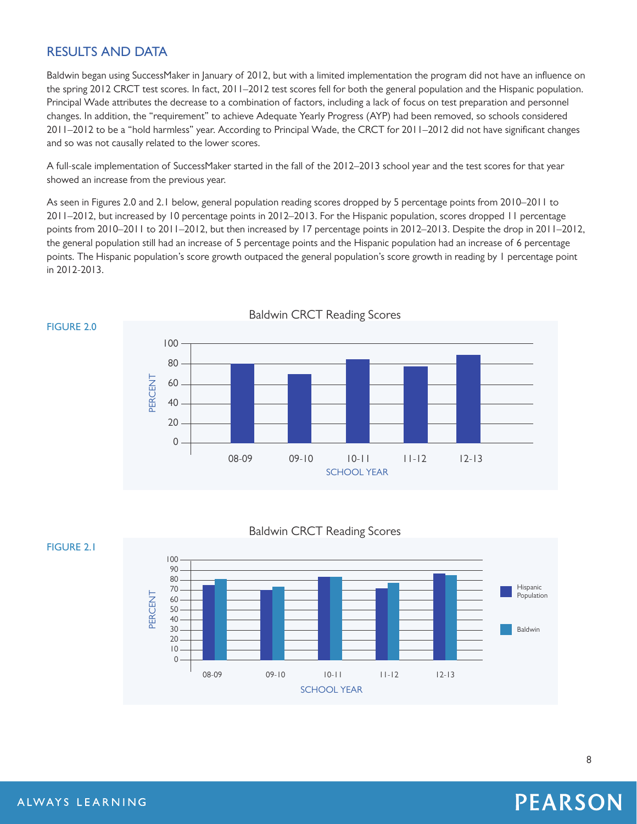# RESULTS AND DATA

Baldwin began using SuccessMaker in January of 2012, but with a limited implementation the program did not have an influence on the spring 2012 CRCT test scores. In fact, 2011–2012 test scores fell for both the general population and the Hispanic population. Principal Wade attributes the decrease to a combination of factors, including a lack of focus on test preparation and personnel changes. In addition, the "requirement" to achieve Adequate Yearly Progress (AYP) had been removed, so schools considered 2011–2012 to be a "hold harmless" year. According to Principal Wade, the CRCT for 2011–2012 did not have significant changes and so was not causally related to the lower scores.

A full-scale implementation of SuccessMaker started in the fall of the 2012–2013 school year and the test scores for that year showed an increase from the previous year.

As seen in Figures 2.0 and 2.1 below, general population reading scores dropped by 5 percentage points from 2010–2011 to 2011–2012, but increased by 10 percentage points in 2012–2013. For the Hispanic population, scores dropped 11 percentage points from 2010–2011 to 2011–2012, but then increased by 17 percentage points in 2012–2013. Despite the drop in 2011–2012, the general population still had an increase of 5 percentage points and the Hispanic population had an increase of 6 percentage points. The Hispanic population's score growth outpaced the general population's score growth in reading by 1 percentage point in 2012-2013.



Baldwin CRCT Reading Scores



**FIGURE 2.1**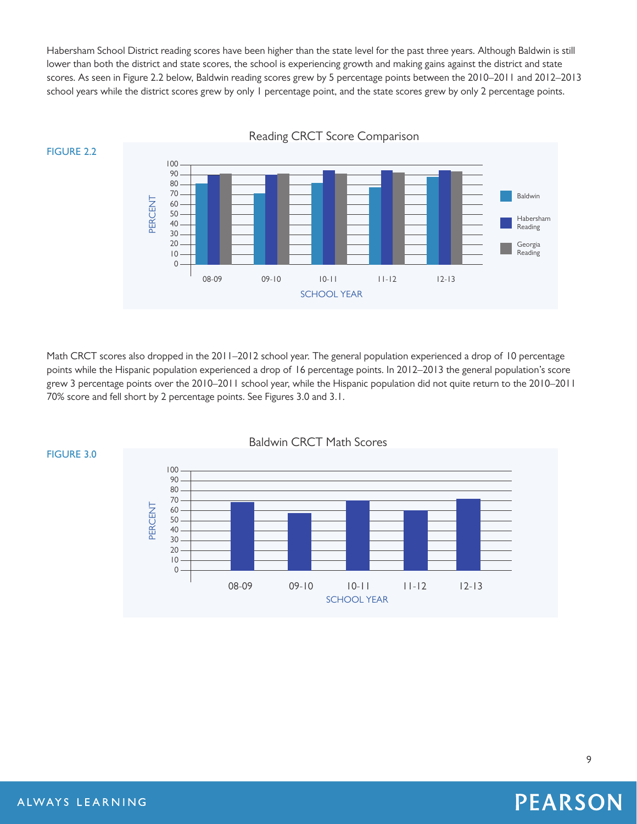Habersham School District reading scores have been higher than the state level for the past three years. Although Baldwin is still lower than both the district and state scores, the school is experiencing growth and making gains against the district and state scores. As seen in Figure 2.2 below, Baldwin reading scores grew by 5 percentage points between the 2010–2011 and 2012–2013 school years while the district scores grew by only 1 percentage point, and the state scores grew by only 2 percentage points.



Math CRCT scores also dropped in the 2011–2012 school year. The general population experienced a drop of 10 percentage points while the Hispanic population experienced a drop of 16 percentage points. In 2012–2013 the general population's score grew 3 percentage points over the 2010–2011 school year, while the Hispanic population did not quite return to the 2010–2011 70% score and fell short by 2 percentage points. See Figures 3.0 and 3.1.





Reading CRCT Score Comparison

# **PEARSON**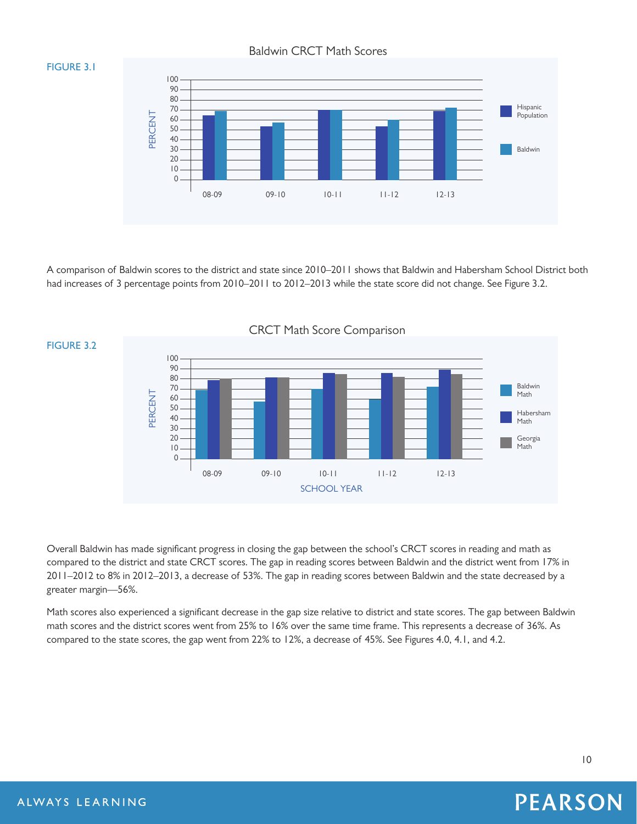Baldwin CRCT Math Scores

### **FIGURE 3.1**



A comparison of Baldwin scores to the district and state since 2010–2011 shows that Baldwin and Habersham School District both had increases of 3 percentage points from 2010–2011 to 2012–2013 while the state score did not change. See Figure 3.2.



Overall Baldwin has made significant progress in closing the gap between the school's CRCT scores in reading and math as compared to the district and state CRCT scores. The gap in reading scores between Baldwin and the district went from 17% in 2011–2012 to 8% in 2012–2013, a decrease of 53%. The gap in reading scores between Baldwin and the state decreased by a greater margin—56%.

Math scores also experienced a significant decrease in the gap size relative to district and state scores. The gap between Baldwin math scores and the district scores went from 25% to 16% over the same time frame. This represents a decrease of 36%. As compared to the state scores, the gap went from 22% to 12%, a decrease of 45%. See Figures 4.0, 4.1, and 4.2.

### 10

### ALWAYS LEARNING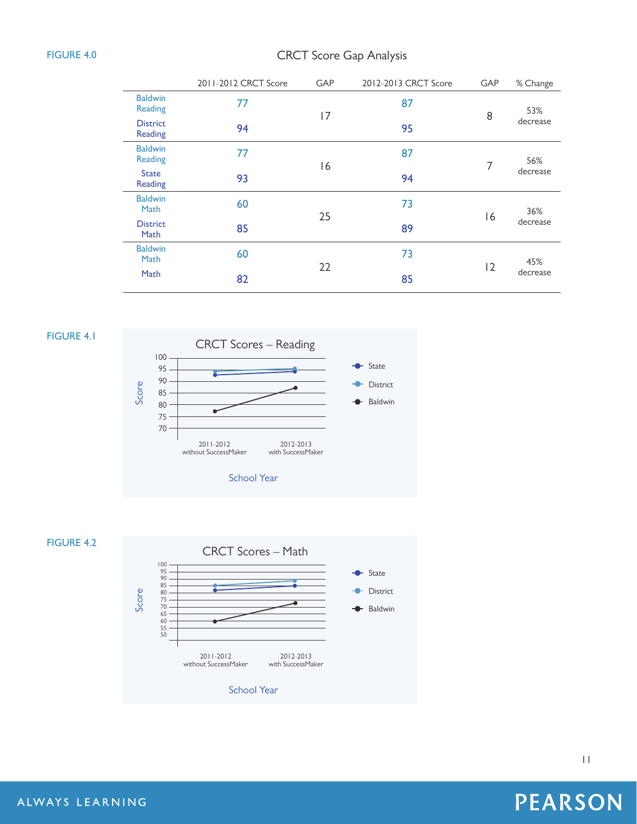### **FIGURE 4.0**

# CRCT Score Gap Analysis

|                                  | 2011-2012 CRCT Score | <b>GAP</b> | 2012-2013 CRCT Score | GAP | % Change        |
|----------------------------------|----------------------|------------|----------------------|-----|-----------------|
| <b>Baldwin</b><br><b>Reading</b> | 77                   | 17         | 87                   | 8   | 53%<br>decrease |
| <b>District</b><br>Reading       | 94                   |            | 95                   |     |                 |
| <b>Baldwin</b><br><b>Reading</b> | 77                   | 16         | 87                   | 7   | 56%<br>decrease |
| <b>State</b><br>Reading          | 93                   |            | 94                   |     |                 |
| <b>Baldwin</b><br>Math           | 60                   | 25         | 73                   | 16  | 36%<br>decrease |
| <b>District</b><br>Math          | 85                   |            | 89                   |     |                 |
| <b>Baldwin</b><br>Math           | 60                   | 22         | 73                   | 12  | 45%<br>decrease |
| Math                             | 82                   |            | 85                   |     |                 |

### **FIGURE 4.1**





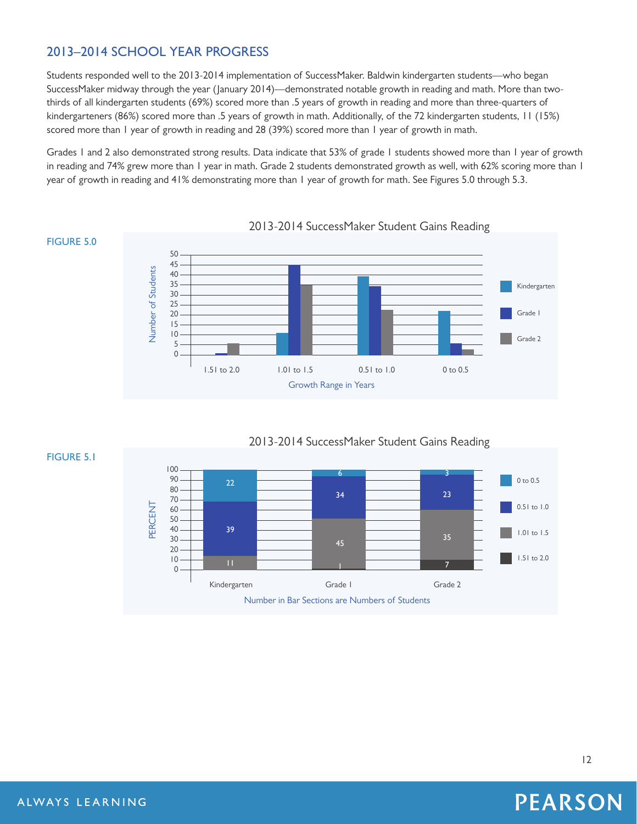# 2013–2014 SCHOOL YEAR PROGRESS

Students responded well to the 2013-2014 implementation of SuccessMaker. Baldwin kindergarten students—who began SuccessMaker midway through the year (January 2014)—demonstrated notable growth in reading and math. More than twothirds of all kindergarten students (69%) scored more than .5 years of growth in reading and more than three-quarters of kindergarteners (86%) scored more than .5 years of growth in math. Additionally, of the 72 kindergarten students, 11 (15%) scored more than 1 year of growth in reading and 28 (39%) scored more than 1 year of growth in math.

Grades 1 and 2 also demonstrated strong results. Data indicate that 53% of grade 1 students showed more than 1 year of growth in reading and 74% grew more than 1 year in math. Grade 2 students demonstrated growth as well, with 62% scoring more than 1 year of growth in reading and 41% demonstrating more than 1 year of growth for math. See Figures 5.0 through 5.3.



2013-2014 SuccessMaker Student Gains Reading

### **FIGURE 5.0**

**FIGURE 5.1**





ALWAYS LEARNING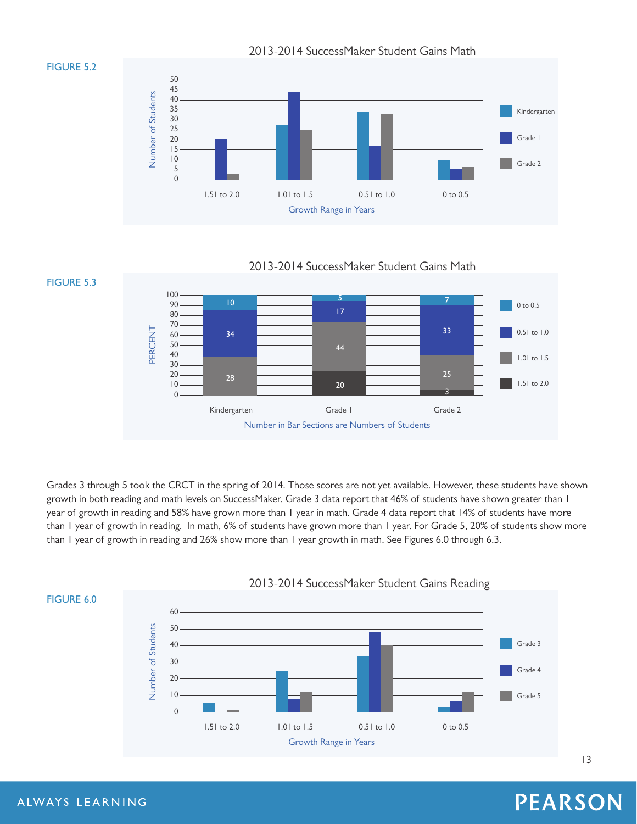

### **FIGURE 5.2**

**FIGURE 5.3**



2013-2014 SuccessMaker Student Gains Math



Grades 3 through 5 took the CRCT in the spring of 2014. Those scores are not yet available. However, these students have shown growth in both reading and math levels on SuccessMaker. Grade 3 data report that 46% of students have shown greater than 1 year of growth in reading and 58% have grown more than 1 year in math. Grade 4 data report that 14% of students have more than 1 year of growth in reading. In math, 6% of students have grown more than 1 year. For Grade 5, 20% of students show more than 1 year of growth in reading and 26% show more than 1 year growth in math. See Figures 6.0 through 6.3.



### **FIGURE 6.0**

# **PEARSON**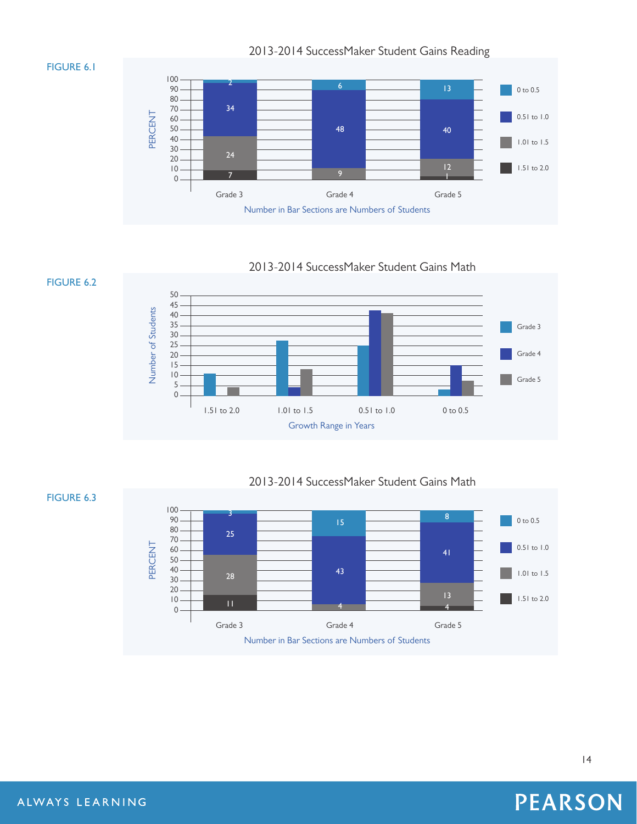### **FIGURE 6.1**

**FIGURE 6.2**

2013-2014 SuccessMaker Student Gains Reading



### 2013-2014 SuccessMaker Student Gains Math



2013-2014 SuccessMaker Student Gains Math



### **FIGURE 6.3**